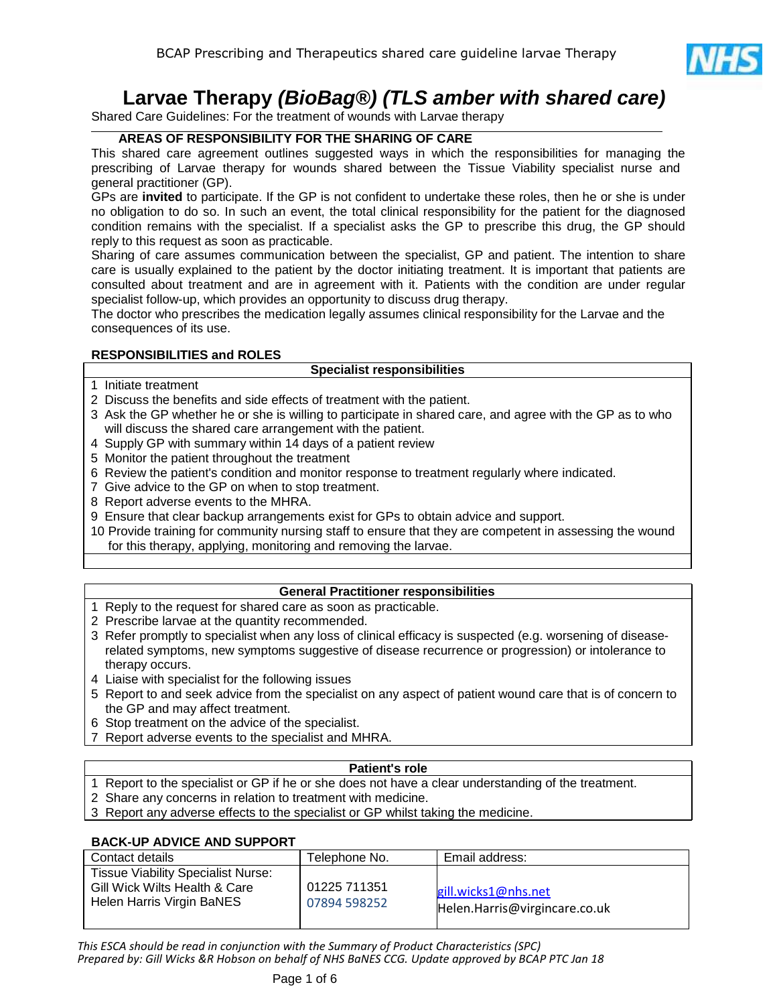

# **Larvae Therapy** *(BioBag®) (TLS amber with shared care)*

Shared Care Guidelines: For the treatment of wounds with Larvae therapy

# **AREAS OF RESPONSIBILITY FOR THE SHARING OF CARE**

This shared care agreement outlines suggested ways in which the responsibilities for managing the prescribing of Larvae therapy for wounds shared between the Tissue Viability specialist nurse and general practitioner (GP).

GPs are **invited** to participate. If the GP is not confident to undertake these roles, then he or she is under no obligation to do so. In such an event, the total clinical responsibility for the patient for the diagnosed condition remains with the specialist. If a specialist asks the GP to prescribe this drug, the GP should reply to this request as soon as practicable.

Sharing of care assumes communication between the specialist, GP and patient. The intention to share care is usually explained to the patient by the doctor initiating treatment. It is important that patients are consulted about treatment and are in agreement with it. Patients with the condition are under regular specialist follow-up, which provides an opportunity to discuss drug therapy.

The doctor who prescribes the medication legally assumes clinical responsibility for the Larvae and the consequences of its use.

# **RESPONSIBILITIES and ROLES**

#### **Specialist responsibilities**

- 1 Initiate treatment
- 2 Discuss the benefits and side effects of treatment with the patient.
- 3 Ask the GP whether he or she is willing to participate in shared care, and agree with the GP as to who will discuss the shared care arrangement with the patient.
- 4 Supply GP with summary within 14 days of a patient review
- 5 Monitor the patient throughout the treatment
- 6 Review the patient's condition and monitor response to treatment regularly where indicated.
- 7 Give advice to the GP on when to stop treatment.
- 8 Report adverse events to the MHRA.
- 9 Ensure that clear backup arrangements exist for GPs to obtain advice and support.
- 10 Provide training for community nursing staff to ensure that they are competent in assessing the wound for this therapy, applying, monitoring and removing the larvae.

# **General Practitioner responsibilities**

- 1 Reply to the request for shared care as soon as practicable.
- 2 Prescribe larvae at the quantity recommended.
- 3 Refer promptly to specialist when any loss of clinical efficacy is suspected (e.g. worsening of diseaserelated symptoms, new symptoms suggestive of disease recurrence or progression) or intolerance to therapy occurs.
- 4 Liaise with specialist for the following issues
- 5 Report to and seek advice from the specialist on any aspect of patient wound care that is of concern to the GP and may affect treatment.
- 6 Stop treatment on the advice of the specialist.
- 7 Report adverse events to the specialist and MHRA.

#### **Patient's role**

- 1 Report to the specialist or GP if he or she does not have a clear understanding of the treatment.
- 2 Share any concerns in relation to treatment with medicine.
- 3 Report any adverse effects to the specialist or GP whilst taking the medicine.

# **BACK-UP ADVICE AND SUPPORT**

| Contact details                                                                                         | Гelephone No.                | Email address:                                       |
|---------------------------------------------------------------------------------------------------------|------------------------------|------------------------------------------------------|
| <b>Tissue Viability Specialist Nurse:</b><br>Gill Wick Wilts Health & Care<br>Helen Harris Virgin BaNES | 01225 711351<br>07894 598252 | gill.wicks1@nhs.net<br>Helen.Harris@virgincare.co.uk |

*This ESCA should be read in conjunction with the Summary of Product Characteristics (SPC) Prepared by: Gill Wicks &R Hobson on behalf of NHS BaNES CCG. Update approved by BCAP PTC Jan 18*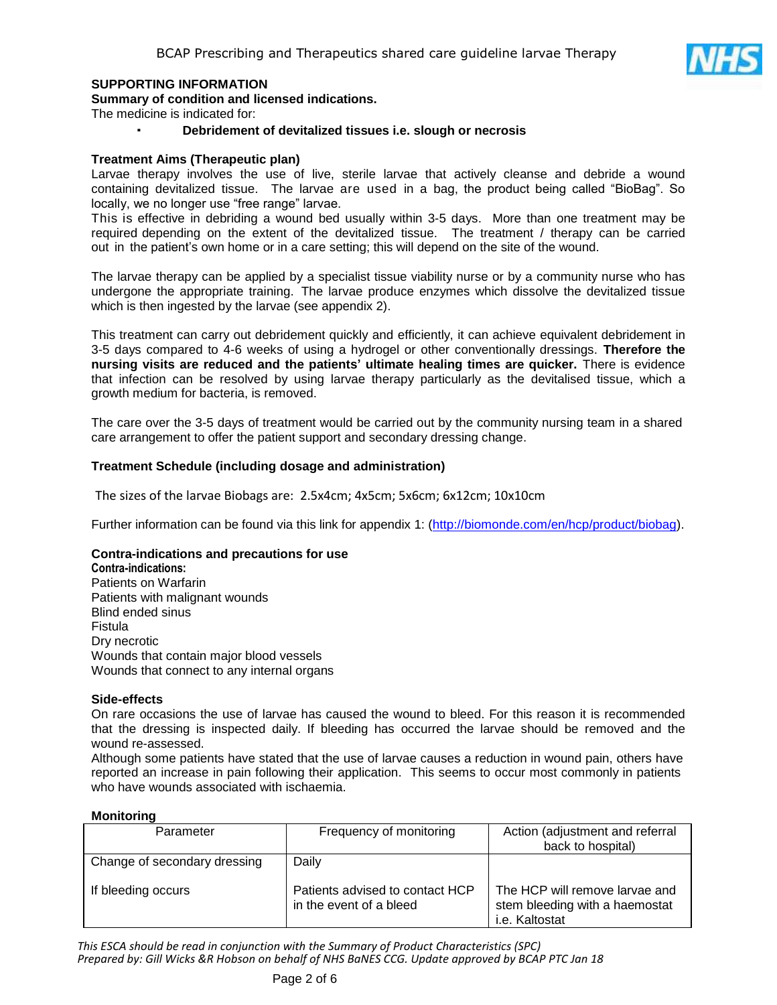

# **SUPPORTING INFORMATION**

**Summary of condition and licensed indications.**

The medicine is indicated for:

· **Debridement of devitalized tissues i.e. slough or necrosis**

#### **Treatment Aims (Therapeutic plan)**

Larvae therapy involves the use of live, sterile larvae that actively cleanse and debride a wound containing devitalized tissue. The larvae are used in a bag, the product being called "BioBag". So locally, we no longer use "free range" larvae.

This is effective in debriding a wound bed usually within 3-5 days. More than one treatment may be required depending on the extent of the devitalized tissue. The treatment / therapy can be carried out in the patient's own home or in a care setting; this will depend on the site of the wound.

The larvae therapy can be applied by a specialist tissue viability nurse or by a community nurse who has undergone the appropriate training. The larvae produce enzymes which dissolve the devitalized tissue which is then ingested by the larvae (see appendix 2).

This treatment can carry out debridement quickly and efficiently, it can achieve equivalent debridement in 3-5 days compared to 4-6 weeks of using a hydrogel or other conventionally dressings. **Therefore the nursing visits are reduced and the patients' ultimate healing times are quicker.** There is evidence that infection can be resolved by using larvae therapy particularly as the devitalised tissue, which a growth medium for bacteria, is removed.

The care over the 3-5 days of treatment would be carried out by the community nursing team in a shared care arrangement to offer the patient support and secondary dressing change.

#### **Treatment Schedule (including dosage and administration)**

The sizes of the larvae Biobags are: 2.5x4cm; 4x5cm; 5x6cm; 6x12cm; 10x10cm

Further information can be found via this link for appendix 1: [\(http://biomonde.com/en/hcp/product/biobag\)](http://biomonde.com/en/hcp/product/biobag).

#### **Contra-indications and precautions for use**

**Contra-indications:** Patients on Warfarin Patients with malignant wounds Blind ended sinus Fistula Dry necrotic Wounds that contain major blood vessels Wounds that connect to any internal organs

#### **Side-effects**

On rare occasions the use of larvae has caused the wound to bleed. For this reason it is recommended that the dressing is inspected daily. If bleeding has occurred the larvae should be removed and the wound re-assessed.

Although some patients have stated that the use of larvae causes a reduction in wound pain, others have reported an increase in pain following their application. This seems to occur most commonly in patients who have wounds associated with ischaemia.

#### **Monitoring**

| Parameter                    | Frequency of monitoring                                    | Action (adjustment and referral                                                    |
|------------------------------|------------------------------------------------------------|------------------------------------------------------------------------------------|
|                              |                                                            | back to hospital)                                                                  |
| Change of secondary dressing | Daily                                                      |                                                                                    |
| If bleeding occurs           | Patients advised to contact HCP<br>in the event of a bleed | The HCP will remove larvae and<br>stem bleeding with a haemostat<br>i.e. Kaltostat |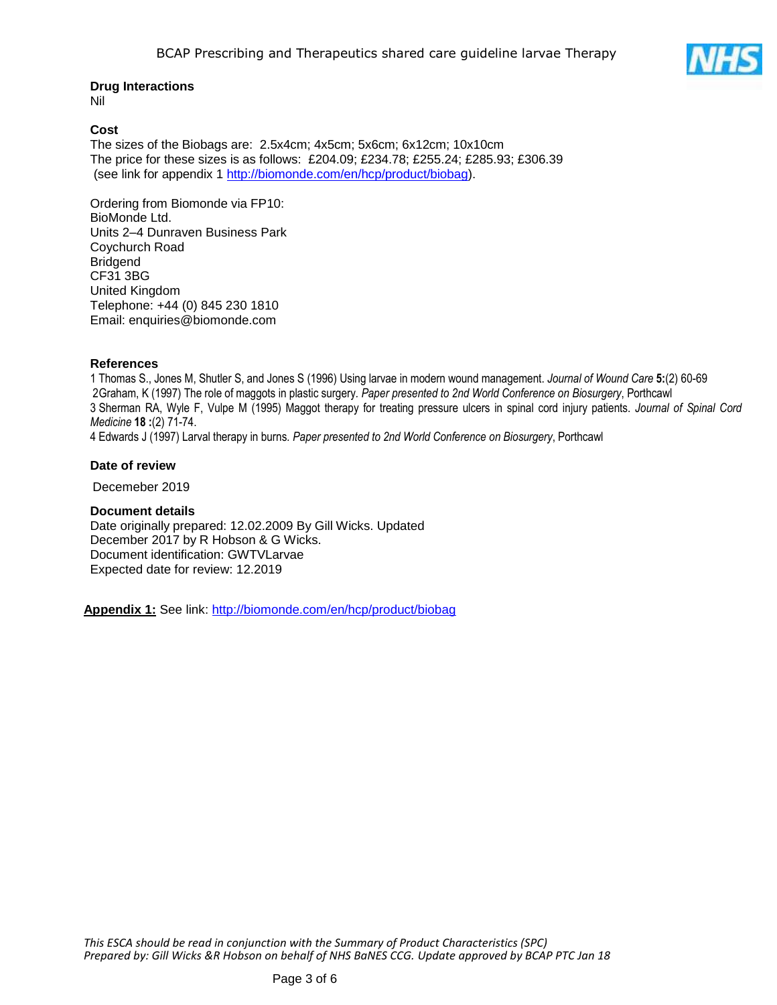# **Drug Interactions**

Nil

#### **Cost**

The sizes of the Biobags are: 2.5x4cm; 4x5cm; 5x6cm; 6x12cm; 10x10cm The price for these sizes is as follows: £204.09; £234.78; £255.24; £285.93; £306.39 (see link for appendix 1 [http://biomonde.com/en/hcp/product/biobag\)](http://biomonde.com/en/hcp/product/biobag).

Ordering from Biomonde via FP10: BioMonde Ltd. Units 2–4 Dunraven Business Park Coychurch Road **Bridgend** CF31 3BG United Kingdom Telephone: +44 (0) 845 230 1810 Email: enquiries@biomonde.com

# **References**

1 Thomas S., Jones M, Shutler S, and Jones S (1996) Using larvae in modern wound management. *Journal of Wound Care* **5:**(2) 60-69 2Graham, K (1997) The role of maggots in plastic surgery*. Paper presented to 2nd World Conference on Biosurgery*, Porthcawl 3 Sherman RA, Wyle F, Vulpe M (1995) Maggot therapy for treating pressure ulcers in spinal cord injury patients. *Journal of Spinal Cord Medicine* **18 :**(2) 71-74.

4 Edwards J (1997) Larval therapy in burns*. Paper presented to 2nd World Conference on Biosurgery*, Porthcawl

#### **Date of review**

Decemeber 2019

# **Document details**

Date originally prepared: 12.02.2009 By Gill Wicks. Updated December 2017 by R Hobson & G Wicks. Document identification: GWTVLarvae Expected date for review: 12.2019

**Appendix 1:** See link:<http://biomonde.com/en/hcp/product/biobag>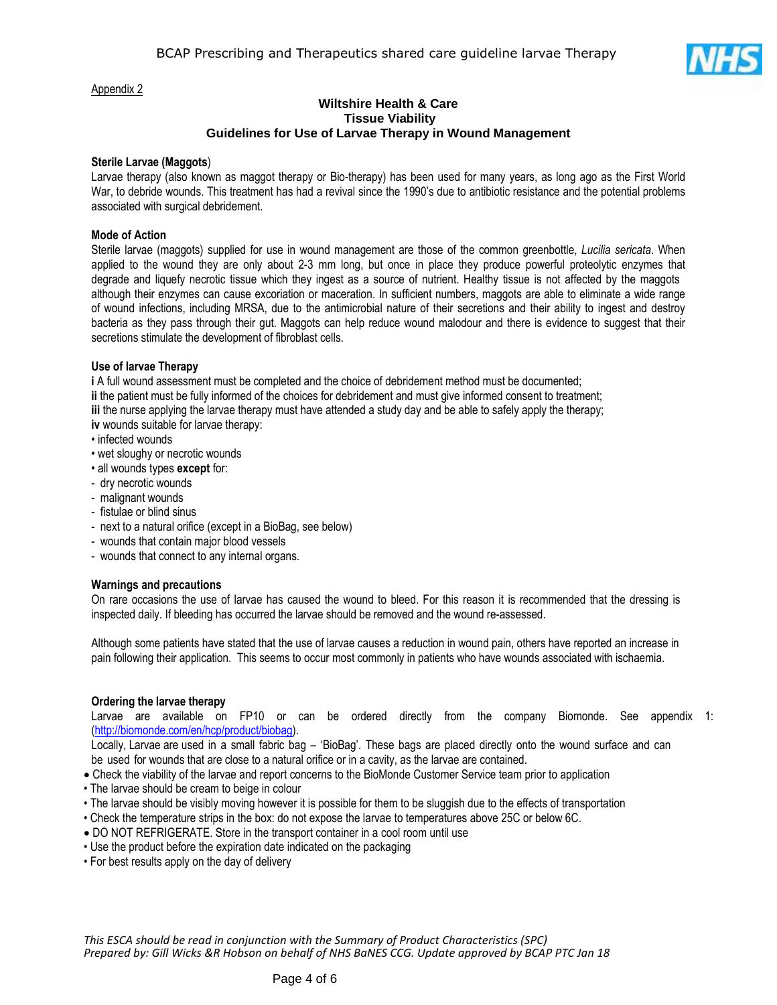

#### Appendix 2

#### **Wiltshire Health & Care Tissue Viability Guidelines for Use of Larvae Therapy in Wound Management**

#### **Sterile Larvae (Maggots**)

Larvae therapy (also known as maggot therapy or Bio-therapy) has been used for many years, as long ago as the First World War, to debride wounds. This treatment has had a revival since the 1990's due to antibiotic resistance and the potential problems associated with surgical debridement.

#### **Mode of Action**

Sterile larvae (maggots) supplied for use in wound management are those of the common greenbottle, *Lucilia sericata*. When applied to the wound they are only about 2-3 mm long, but once in place they produce powerful proteolytic enzymes that degrade and liquefy necrotic tissue which they ingest as a source of nutrient. Healthy tissue is not affected by the maggots although their enzymes can cause excoriation or maceration. In sufficient numbers, maggots are able to eliminate a wide range of wound infections, including MRSA, due to the antimicrobial nature of their secretions and their ability to ingest and destroy bacteria as they pass through their gut. Maggots can help reduce wound malodour and there is evidence to suggest that their secretions stimulate the development of fibroblast cells.

#### **Use of larvae Therapy**

**i** A full wound assessment must be completed and the choice of debridement method must be documented; **ii** the patient must be fully informed of the choices for debridement and must give informed consent to treatment; **iii** the nurse applying the larvae therapy must have attended a study day and be able to safely apply the therapy;

**iv** wounds suitable for larvae therapy:

- infected wounds
- wet sloughy or necrotic wounds
- all wounds types **except** for:
- dry necrotic wounds
- malignant wounds
- fistulae or blind sinus
- next to a natural orifice (except in a BioBag, see below)
- wounds that contain major blood vessels
- wounds that connect to any internal organs.

#### **Warnings and precautions**

On rare occasions the use of larvae has caused the wound to bleed. For this reason it is recommended that the dressing is inspected daily. If bleeding has occurred the larvae should be removed and the wound re-assessed.

Although some patients have stated that the use of larvae causes a reduction in wound pain, others have reported an increase in pain following their application. This seems to occur most commonly in patients who have wounds associated with ischaemia.

#### **Ordering the larvae therapy**

Larvae are available on FP10 or can be ordered directly from the company Biomonde. See appendix 1: [\(http://biomonde.com/en/hcp/product/biobag\)](http://biomonde.com/en/hcp/product/biobag).

Locally, Larvae are used in a small fabric bag – 'BioBag'. These bags are placed directly onto the wound surface and can be used for wounds that are close to a natural orifice or in a cavity, as the larvae are contained.

- Check the viability of the larvae and report concerns to the BioMonde Customer Service team prior to application
- The larvae should be cream to beige in colour
- The larvae should be visibly moving however it is possible for them to be sluggish due to the effects of transportation
- Check the temperature strips in the box: do not expose the larvae to temperatures above 25C or below 6C.
- DO NOT REFRIGERATE. Store in the transport container in a cool room until use
- Use the product before the expiration date indicated on the packaging
- For best results apply on the day of delivery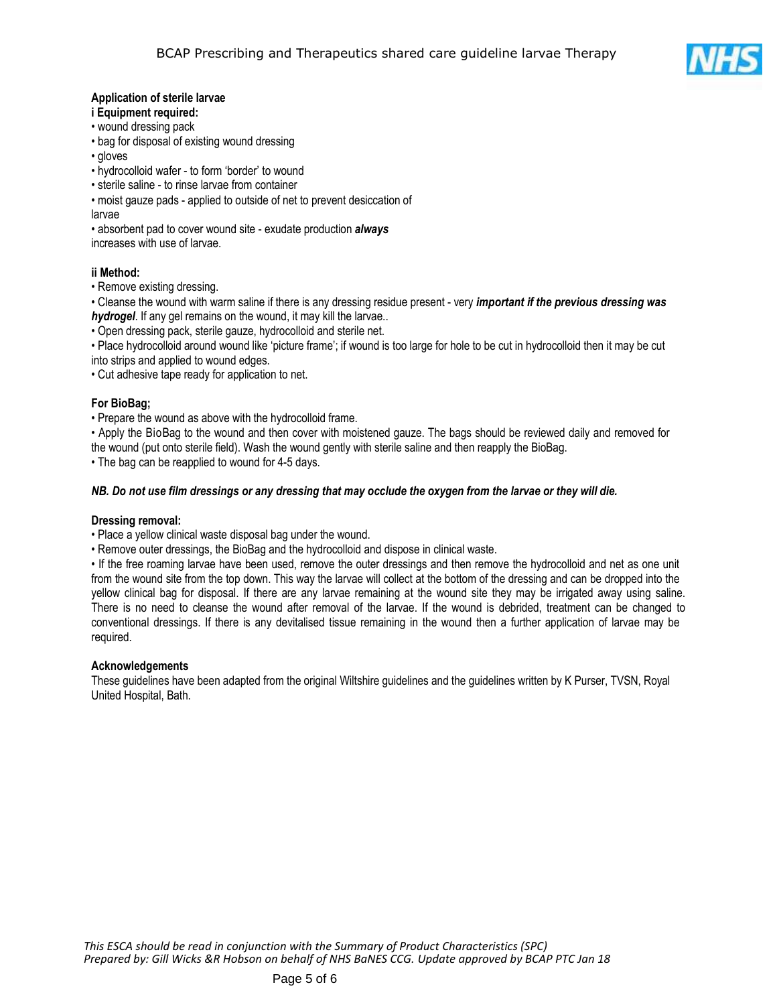

# **Application of sterile larvae**

#### **i Equipment required:**

- wound dressing pack
- bag for disposal of existing wound dressing
- gloves
- hydrocolloid wafer to form 'border' to wound
- sterile saline to rinse larvae from container
- moist gauze pads applied to outside of net to prevent desiccation of
- larvae

• absorbent pad to cover wound site - exudate production *always*

increases with use of larvae.

# **ii Method:**

• Remove existing dressing.

• Cleanse the wound with warm saline if there is any dressing residue present - very *important if the previous dressing was hydrogel*. If any gel remains on the wound, it may kill the larvae..

• Open dressing pack, sterile gauze, hydrocolloid and sterile net.

• Place hydrocolloid around wound like 'picture frame'; if wound is too large for hole to be cut in hydrocolloid then it may be cut into strips and applied to wound edges.

• Cut adhesive tape ready for application to net.

# **For BioBag;**

• Prepare the wound as above with the hydrocolloid frame.

• Apply the BioBag to the wound and then cover with moistened gauze. The bags should be reviewed daily and removed for the wound (put onto sterile field). Wash the wound gently with sterile saline and then reapply the BioBag.

• The bag can be reapplied to wound for 4-5 days.

# *NB. Do not use film dressings or any dressing that may occlude the oxygen from the larvae or they will die.*

# **Dressing removal:**

• Place a yellow clinical waste disposal bag under the wound.

• Remove outer dressings, the BioBag and the hydrocolloid and dispose in clinical waste.

• If the free roaming larvae have been used, remove the outer dressings and then remove the hydrocolloid and net as one unit from the wound site from the top down. This way the larvae will collect at the bottom of the dressing and can be dropped into the yellow clinical bag for disposal. If there are any larvae remaining at the wound site they may be irrigated away using saline. There is no need to cleanse the wound after removal of the larvae. If the wound is debrided, treatment can be changed to conventional dressings. If there is any devitalised tissue remaining in the wound then a further application of larvae may be required.

# **Acknowledgements**

These guidelines have been adapted from the original Wiltshire guidelines and the guidelines written by K Purser, TVSN, Royal United Hospital, Bath.